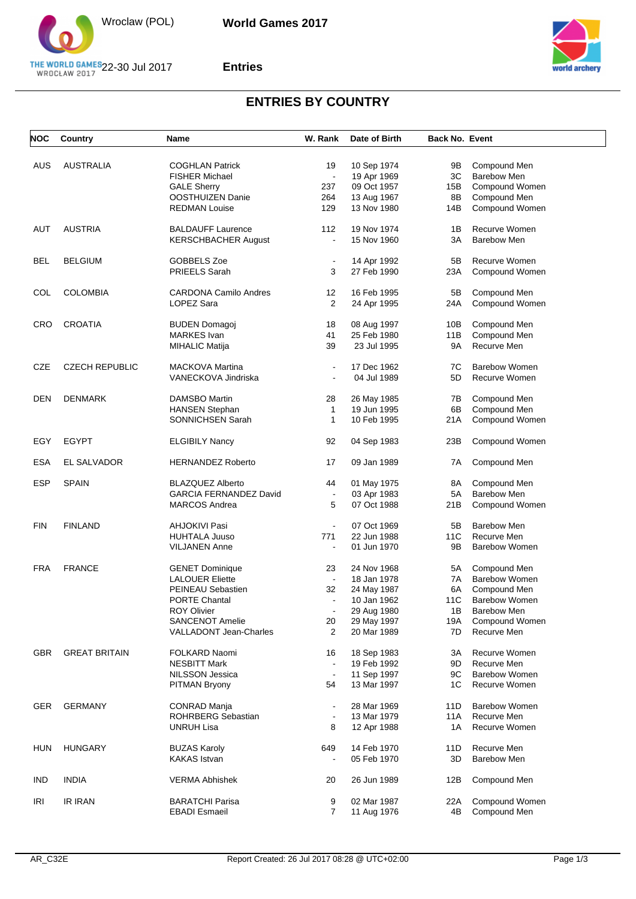

#### **Entries**



## **ENTRIES BY COUNTRY**

| <b>NOC</b> | Country               | Name                          | W. Rank                  | Date of Birth | <b>Back No. Event</b> |                      |
|------------|-----------------------|-------------------------------|--------------------------|---------------|-----------------------|----------------------|
| <b>AUS</b> | <b>AUSTRALIA</b>      | <b>COGHLAN Patrick</b>        | 19                       | 10 Sep 1974   | 9Β                    | Compound Men         |
|            |                       | <b>FISHER Michael</b>         | $\Box$                   | 19 Apr 1969   | 3C                    | <b>Barebow Men</b>   |
|            |                       | <b>GALE Sherry</b>            | 237                      | 09 Oct 1957   | 15B                   | Compound Women       |
|            |                       | OOSTHUIZEN Danie              | 264                      | 13 Aug 1967   | 8Β                    | Compound Men         |
|            |                       | <b>REDMAN Louise</b>          | 129                      | 13 Nov 1980   | 14B                   | Compound Women       |
| AUT        | <b>AUSTRIA</b>        | <b>BALDAUFF Laurence</b>      | 112                      | 19 Nov 1974   | 1B                    | Recurve Women        |
|            |                       | <b>KERSCHBACHER August</b>    | $\overline{\phantom{a}}$ | 15 Nov 1960   | 3A                    | <b>Barebow Men</b>   |
|            |                       |                               |                          |               |                       |                      |
| <b>BEL</b> | <b>BELGIUM</b>        | GOBBELS Zoe                   | $\blacksquare$           | 14 Apr 1992   | 5Β                    | Recurve Women        |
|            |                       | PRIEELS Sarah                 | 3                        | 27 Feb 1990   | 23A                   | Compound Women       |
| COL        | <b>COLOMBIA</b>       | <b>CARDONA Camilo Andres</b>  | 12                       | 16 Feb 1995   | 5Β                    | Compound Men         |
|            |                       | LOPEZ Sara                    | 2                        | 24 Apr 1995   | 24A                   | Compound Women       |
| <b>CRO</b> | <b>CROATIA</b>        | <b>BUDEN Domagoj</b>          | 18                       | 08 Aug 1997   | 10B                   | Compound Men         |
|            |                       | <b>MARKES</b> Ivan            | 41                       | 25 Feb 1980   | 11B                   | Compound Men         |
|            |                       | <b>MIHALIC Matija</b>         | 39                       | 23 Jul 1995   | 9A                    | Recurve Men          |
| <b>CZE</b> | <b>CZECH REPUBLIC</b> | <b>MACKOVA Martina</b>        | $\blacksquare$           | 17 Dec 1962   | 7C                    | <b>Barebow Women</b> |
|            |                       | VANECKOVA Jindriska           | $\blacksquare$           | 04 Jul 1989   | 5D                    | Recurve Women        |
| <b>DEN</b> | <b>DENMARK</b>        | DAMSBO Martin                 | 28                       | 26 May 1985   | 7В                    | Compound Men         |
|            |                       | HANSEN Stephan                | 1                        | 19 Jun 1995   | 6B                    | Compound Men         |
|            |                       | SONNICHSEN Sarah              | 1                        | 10 Feb 1995   | 21A                   | Compound Women       |
| EGY        | <b>EGYPT</b>          | <b>ELGIBILY Nancy</b>         | 92                       | 04 Sep 1983   | 23B                   | Compound Women       |
|            |                       |                               |                          |               |                       |                      |
| <b>ESA</b> | EL SALVADOR           | <b>HERNANDEZ Roberto</b>      | 17                       | 09 Jan 1989   | 7A                    | Compound Men         |
| <b>ESP</b> | <b>SPAIN</b>          | <b>BLAZQUEZ Alberto</b>       | 44                       | 01 May 1975   | 8A                    | Compound Men         |
|            |                       | <b>GARCIA FERNANDEZ David</b> | $\blacksquare$           | 03 Apr 1983   | 5A                    | <b>Barebow Men</b>   |
|            |                       | <b>MARCOS Andrea</b>          | 5                        | 07 Oct 1988   | 21B                   | Compound Women       |
| <b>FIN</b> | <b>FINLAND</b>        | AHJOKIVI Pasi                 | $\blacksquare$           | 07 Oct 1969   | 5Β                    | <b>Barebow Men</b>   |
|            |                       | <b>HUHTALA Juuso</b>          | 771                      | 22 Jun 1988   | 11C                   | Recurve Men          |
|            |                       | <b>VILJANEN Anne</b>          | $\blacksquare$           | 01 Jun 1970   | 9Β                    | <b>Barebow Women</b> |
| <b>FRA</b> | <b>FRANCE</b>         | <b>GENET Dominique</b>        | 23                       | 24 Nov 1968   | 5А                    | Compound Men         |
|            |                       | <b>LALOUER Eliette</b>        | $\blacksquare$           | 18 Jan 1978   | 7A                    | <b>Barebow Women</b> |
|            |                       | PEINEAU Sebastien             | 32                       | 24 May 1987   | 6A                    | Compound Men         |
|            |                       | <b>PORTE Chantal</b>          | $\blacksquare$           | 10 Jan 1962   | 11C                   | <b>Barebow Women</b> |
|            |                       | <b>ROY Olivier</b>            |                          | 29 Aug 1980   | 1В                    | Barebow Men          |
|            |                       | <b>SANCENOT Amelie</b>        | 20                       | 29 May 1997   | 19A                   | Compound Women       |
|            |                       | <b>VALLADONT Jean-Charles</b> | 2                        | 20 Mar 1989   | 7D                    | Recurve Men          |
| <b>GBR</b> | <b>GREAT BRITAIN</b>  | FOLKARD Naomi                 | 16                       | 18 Sep 1983   | ЗΑ                    | Recurve Women        |
|            |                       | <b>NESBITT Mark</b>           | $\ddot{\phantom{a}}$     | 19 Feb 1992   | 9D                    | Recurve Men          |
|            |                       | NILSSON Jessica               |                          | 11 Sep 1997   | 9C                    | <b>Barebow Women</b> |
|            |                       | <b>PITMAN Bryony</b>          | 54                       | 13 Mar 1997   | 1C                    | Recurve Women        |
| <b>GER</b> | <b>GERMANY</b>        | <b>CONRAD Manja</b>           | $\overline{\phantom{a}}$ | 28 Mar 1969   | 11D                   | <b>Barebow Women</b> |
|            |                       | ROHRBERG Sebastian            | $\blacksquare$           | 13 Mar 1979   | 11A                   | Recurve Men          |
|            |                       | UNRUH Lisa                    | 8                        | 12 Apr 1988   | 1A                    | Recurve Women        |
| <b>HUN</b> | <b>HUNGARY</b>        | <b>BUZAS Karoly</b>           | 649                      | 14 Feb 1970   | 11D                   | Recurve Men          |
|            |                       | <b>KAKAS Istvan</b>           |                          | 05 Feb 1970   | 3D                    | <b>Barebow Men</b>   |
|            |                       |                               |                          |               |                       |                      |
| <b>IND</b> | <b>INDIA</b>          | <b>VERMA Abhishek</b>         | 20                       | 26 Jun 1989   | 12B                   | Compound Men         |
| IRI        | IR IRAN               | <b>BARATCHI Parisa</b>        | 9                        | 02 Mar 1987   | 22A                   | Compound Women       |
|            |                       | <b>EBADI Esmaeil</b>          | $\overline{7}$           | 11 Aug 1976   | 4B                    | Compound Men         |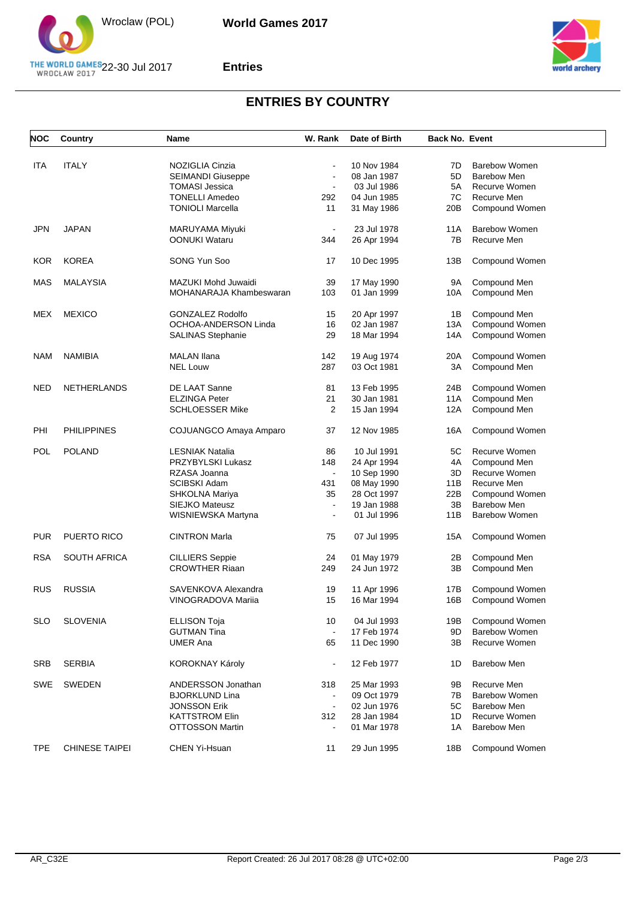

#### **Entries**



## **ENTRIES BY COUNTRY**

| <b>NOC</b> | Country               | <b>Name</b>              | W. Rank        | Date of Birth | <b>Back No. Event</b> |                      |
|------------|-----------------------|--------------------------|----------------|---------------|-----------------------|----------------------|
|            |                       |                          |                |               |                       |                      |
| <b>ITA</b> | <b>ITALY</b>          | NOZIGLIA Cinzia          | $\blacksquare$ | 10 Nov 1984   | 7D                    | Barebow Women        |
|            |                       | SEIMANDI Giuseppe        | $\blacksquare$ | 08 Jan 1987   | 5D                    | <b>Barebow Men</b>   |
|            |                       | <b>TOMASI Jessica</b>    | $\blacksquare$ | 03 Jul 1986   | 5A                    | Recurve Women        |
|            |                       | <b>TONELLI Amedeo</b>    | 292            | 04 Jun 1985   | 7C                    | Recurve Men          |
|            |                       | <b>TONIOLI Marcella</b>  | 11             | 31 May 1986   | 20 <sub>B</sub>       | Compound Women       |
| <b>JPN</b> | <b>JAPAN</b>          | MARUYAMA Miyuki          | $\blacksquare$ | 23 Jul 1978   | 11A                   | <b>Barebow Women</b> |
|            |                       | <b>OONUKI Wataru</b>     | 344            | 26 Apr 1994   | 7B                    | Recurve Men          |
| <b>KOR</b> | <b>KOREA</b>          | SONG Yun Soo             | 17             | 10 Dec 1995   | 13B                   | Compound Women       |
| <b>MAS</b> | <b>MALAYSIA</b>       | MAZUKI Mohd Juwaidi      | 39             | 17 May 1990   | 9Α                    | Compound Men         |
|            |                       | MOHANARAJA Khambeswaran  | 103            | 01 Jan 1999   | 10A                   | Compound Men         |
| MEX        | <b>MEXICO</b>         | <b>GONZALEZ Rodolfo</b>  | 15             | 20 Apr 1997   | 1B                    | Compound Men         |
|            |                       | OCHOA-ANDERSON Linda     | 16             | 02 Jan 1987   | 13A                   | Compound Women       |
|            |                       | <b>SALINAS Stephanie</b> | 29             | 18 Mar 1994   | 14A                   | Compound Women       |
|            |                       |                          |                |               |                       |                      |
| <b>NAM</b> | <b>NAMIBIA</b>        | <b>MALAN Ilana</b>       | 142            | 19 Aug 1974   | 20A                   | Compound Women       |
|            |                       | <b>NEL Louw</b>          | 287            | 03 Oct 1981   | 3A                    | Compound Men         |
| <b>NED</b> | <b>NETHERLANDS</b>    | DE LAAT Sanne            | 81             | 13 Feb 1995   | 24B                   | Compound Women       |
|            |                       | <b>ELZINGA Peter</b>     | 21             | 30 Jan 1981   | 11A                   | Compound Men         |
|            |                       | <b>SCHLOESSER Mike</b>   | 2              | 15 Jan 1994   | 12A                   | Compound Men         |
| PHI        | <b>PHILIPPINES</b>    | COJUANGCO Amaya Amparo   | 37             | 12 Nov 1985   | 16A                   | Compound Women       |
| <b>POL</b> | <b>POLAND</b>         | LESNIAK Natalia          | 86             | 10 Jul 1991   | 5C                    | Recurve Women        |
|            |                       | PRZYBYLSKI Lukasz        | 148            | 24 Apr 1994   | 4A                    | Compound Men         |
|            |                       | RZASA Joanna             | $\blacksquare$ | 10 Sep 1990   | 3D                    | Recurve Women        |
|            |                       | SCIBSKI Adam             | 431            | 08 May 1990   | 11B                   | Recurve Men          |
|            |                       | SHKOLNA Mariya           | 35             | 28 Oct 1997   | 22B                   | Compound Women       |
|            |                       | SIEJKO Mateusz           | $\overline{a}$ | 19 Jan 1988   | 3B                    | <b>Barebow Men</b>   |
|            |                       | WISNIEWSKA Martyna       | ä,             | 01 Jul 1996   | 11B                   | Barebow Women        |
|            |                       |                          |                |               |                       |                      |
| <b>PUR</b> | <b>PUERTO RICO</b>    | <b>CINTRON Marla</b>     | 75             | 07 Jul 1995   | 15A                   | Compound Women       |
| <b>RSA</b> | <b>SOUTH AFRICA</b>   | <b>CILLIERS</b> Seppie   | 24             | 01 May 1979   | 2B                    | Compound Men         |
|            |                       | <b>CROWTHER Riaan</b>    | 249            | 24 Jun 1972   | 3B                    | Compound Men         |
| RUS        | <b>RUSSIA</b>         | SAVENKOVA Alexandra      | 19             | 11 Apr 1996   | 17B                   | Compound Women       |
|            |                       | VINOGRADOVA Mariia       | 15             | 16 Mar 1994   | 16B                   | Compound Women       |
| <b>SLO</b> | <b>SLOVENIA</b>       | <b>ELLISON Toja</b>      | 10             | 04 Jul 1993   | 19B                   | Compound Women       |
|            |                       | <b>GUTMAN Tina</b>       |                | 17 Feb 1974   | 9D                    | <b>Barebow Women</b> |
|            |                       | <b>UMER Ana</b>          | 65             | 11 Dec 1990   | 3B                    | Recurve Women        |
| <b>SRB</b> | <b>SERBIA</b>         | <b>KOROKNAY Károly</b>   |                | 12 Feb 1977   | 1D                    | <b>Barebow Men</b>   |
| <b>SWE</b> | SWEDEN                | ANDERSSON Jonathan       | 318            | 25 Mar 1993   | 9Β                    | Recurve Men          |
|            |                       | <b>BJORKLUND Lina</b>    | $\mathbf{r}$   | 09 Oct 1979   | 7В                    | <b>Barebow Women</b> |
|            |                       | <b>JONSSON Erik</b>      | $\blacksquare$ | 02 Jun 1976   | 5C                    | <b>Barebow Men</b>   |
|            |                       | <b>KATTSTROM Elin</b>    | 312            | 28 Jan 1984   | 1D                    | Recurve Women        |
|            |                       | <b>OTTOSSON Martin</b>   |                |               | 1A                    | <b>Barebow Men</b>   |
|            |                       |                          |                | 01 Mar 1978   |                       |                      |
| <b>TPE</b> | <b>CHINESE TAIPEI</b> | CHEN Yi-Hsuan            | 11             | 29 Jun 1995   | 18B                   | Compound Women       |